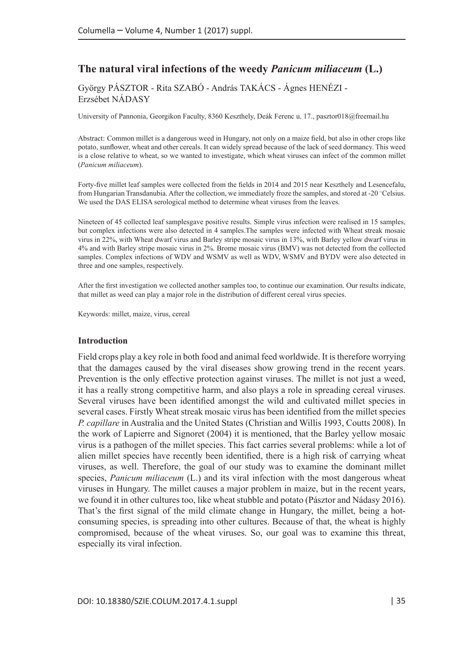# **The natural viral infections of the weedy** *Panicum miliaceum* **(L.)**

György PÁSZTOR - Rita SZABÓ - András TAKÁCS - Ágnes HENÉZI - Erzsébet NÁDASY

University of Pannonia, Georgikon Faculty, 8360 Keszthely, Deák Ferenc u. 17., pasztor018@freemail.hu

Abstract: Common millet is a dangerous weed in Hungary, not only on a maize field, but also in other crops like potato, sunflower, wheat and other cereals. It can widely spread because of the lack of seed dormancy. This weed is a close relative to wheat, so we wanted to investigate, which wheat viruses can infect of the common millet (*Panicum miliaceum*).

Forty-five millet leaf samples were collected from the fields in 2014 and 2015 near Keszthely and Lesencefalu, from Hungarian Transdanubia. After the collection, we immediately froze the samples, and stored at -20 °Celsius. We used the DAS ELISA serological method to determine wheat viruses from the leaves.

Nineteen of 45 collected leaf samplesgave positive results. Simple virus infection were realised in 15 samples, but complex infections were also detected in 4 samples.The samples were infected with Wheat streak mosaic virus in 22%, with Wheat dwarf virus and Barley stripe mosaic virus in 13%, with Barley yellow dwarf virus in 4% and with Barley stripe mosaic virus in 2%. Brome mosaic virus (BMV) was not detected from the collected samples. Complex infections of WDV and WSMV as well as WDV, WSMV and BYDV were also detected in three and one samples, respectively.

After the first investigation we collected another samples too, to continue our examination. Our results indicate, that millet as weed can play a major role in the distribution of different cereal virus species.

Keywords: millet, maize, virus, cereal

#### **Introduction**

Field crops play a key role in both food and animal feed worldwide. It is therefore worrying that the damages caused by the viral diseases show growing trend in the recent years. Prevention is the only effective protection against viruses. The millet is not just a weed, it has a really strong competitive harm, and also plays a role in spreading cereal viruses. Several viruses have been identified amongst the wild and cultivated millet species in several cases. Firstly Wheat streak mosaic virus has been identified from the millet species *P. capillare* in Australia and the United States (Christian and Willis 1993, Coutts 2008). In the work of Lapierre and Signoret (2004) it is mentioned, that the Barley yellow mosaic virus is a pathogen of the millet species. This fact carries several problems: while a lot of alien millet species have recently been identified, there is a high risk of carrying wheat viruses, as well. Therefore, the goal of our study was to examine the dominant millet species, *Panicum miliaceum* (L.) and its viral infection with the most dangerous wheat viruses in Hungary. The millet causes a major problem in maize, but in the recent years, we found it in other cultures too, like wheat stubble and potato (Pásztor and Nádasy 2016). That's the first signal of the mild climate change in Hungary, the millet, being a hotconsuming species, is spreading into other cultures. Because of that, the wheat is highly compromised, because of the wheat viruses. So, our goal was to examine this threat, especially its viral infection.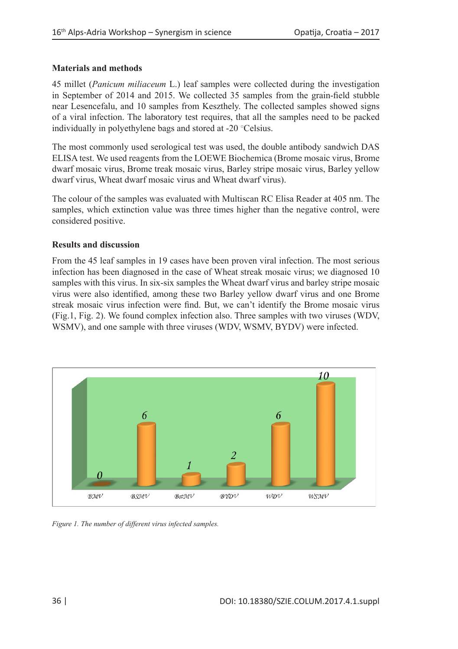## **Materials and methods**

45 millet (*Panicum miliaceum* L.) leaf samples were collected during the investigation in September of 2014 and 2015. We collected 35 samples from the grain-field stubble near Lesencefalu, and 10 samples from Keszthely. The collected samples showed signs of a viral infection. The laboratory test requires, that all the samples need to be packed individually in polyethylene bags and stored at -20 ○Celsius.

The most commonly used serological test was used, the double antibody sandwich DAS ELISA test. We used reagents from the LOEWE Biochemica (Brome mosaic virus, Brome dwarf mosaic virus, Brome treak mosaic virus, Barley stripe mosaic virus, Barley yellow dwarf virus, Wheat dwarf mosaic virus and Wheat dwarf virus).

The colour of the samples was evaluated with Multiscan RC Elisa Reader at 405 nm. The samples, which extinction value was three times higher than the negative control, were considered positive.

### **Results and discussion**

From the 45 leaf samples in 19 cases have been proven viral infection. The most serious infection has been diagnosed in the case of Wheat streak mosaic virus; we diagnosed 10 samples with this virus. In six-six samples the Wheat dwarf virus and barley stripe mosaic virus were also identified, among these two Barley yellow dwarf virus and one Brome streak mosaic virus infection were find. But, we can't identify the Brome mosaic virus (Fig.1, Fig. 2). We found complex infection also. Three samples with two viruses (WDV, WSMV), and one sample with three viruses (WDV, WSMV, BYDV) were infected.



*Figure 1. The number of different virus infected samples.*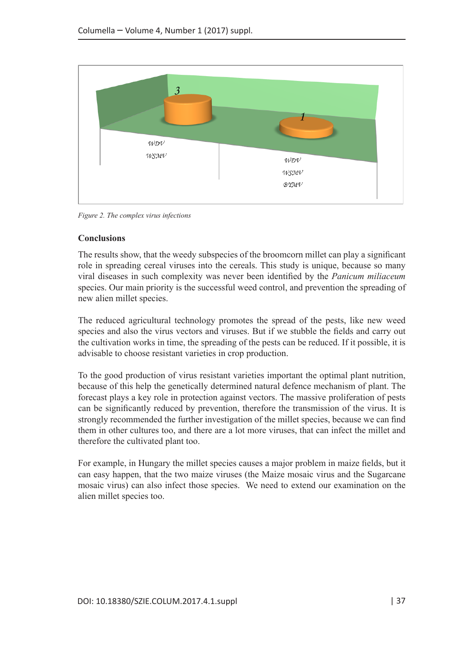

*Figure 2. The complex virus infections*

### **Conclusions**

The results show, that the weedy subspecies of the broomcorn millet can play a significant role in spreading cereal viruses into the cereals. This study is unique, because so many viral diseases in such complexity was never been identified by the *Panicum miliaceum*  species. Our main priority is the successful weed control, and prevention the spreading of new alien millet species.

The reduced agricultural technology promotes the spread of the pests, like new weed species and also the virus vectors and viruses. But if we stubble the fields and carry out the cultivation works in time, the spreading of the pests can be reduced. If it possible, it is advisable to choose resistant varieties in crop production.

To the good production of virus resistant varieties important the optimal plant nutrition, because of this help the genetically determined natural defence mechanism of plant. The forecast plays a key role in protection against vectors. The massive proliferation of pests can be significantly reduced by prevention, therefore the transmission of the virus. It is strongly recommended the further investigation of the millet species, because we can find them in other cultures too, and there are a lot more viruses, that can infect the millet and therefore the cultivated plant too.

For example, in Hungary the millet species causes a major problem in maize fields, but it can easy happen, that the two maize viruses (the Maize mosaic virus and the Sugarcane mosaic virus) can also infect those species. We need to extend our examination on the alien millet species too.